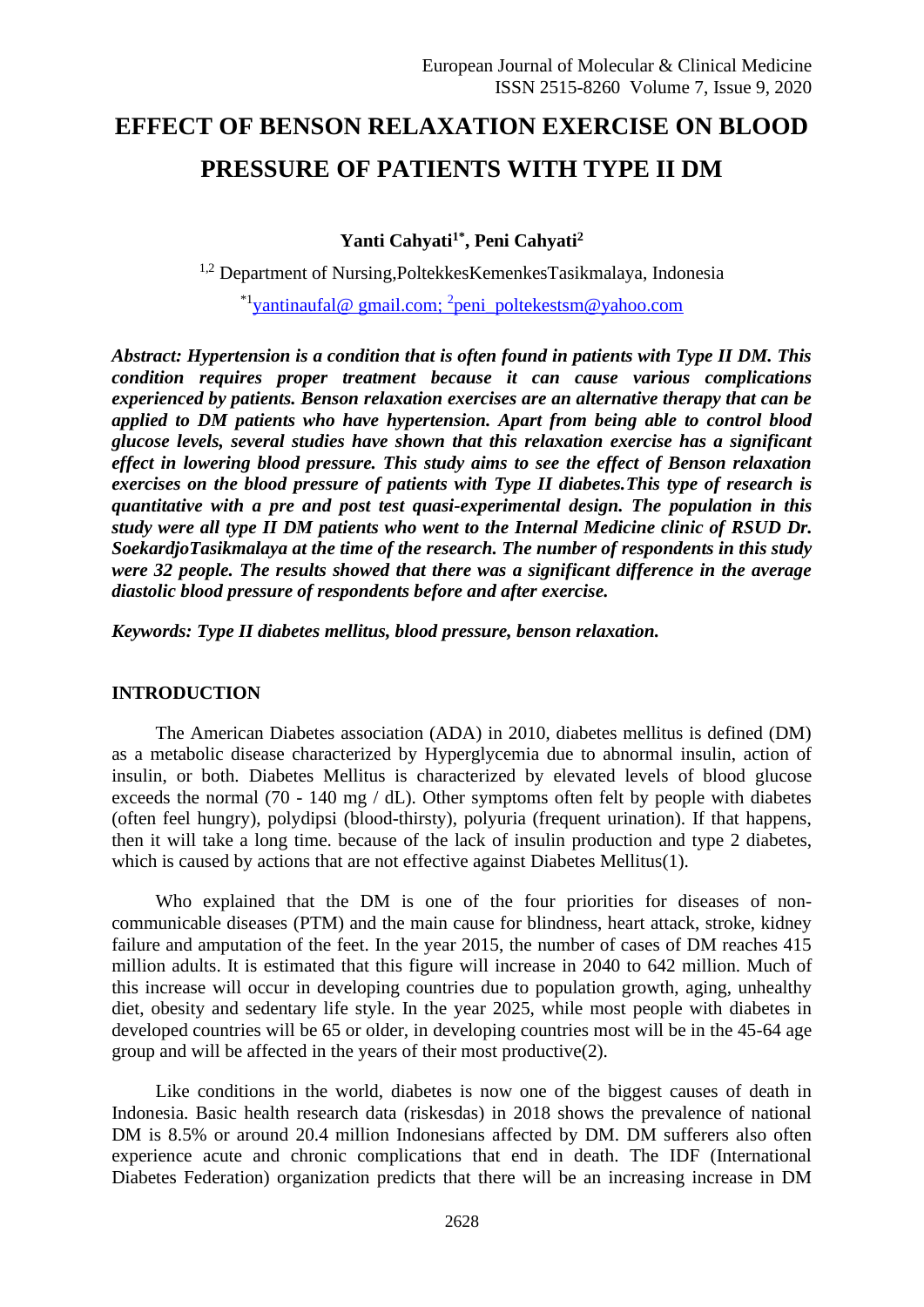# **EFFECT OF BENSON RELAXATION EXERCISE ON BLOOD PRESSURE OF PATIENTS WITH TYPE II DM**

**Yanti Cahyati1\* , Peni Cahyati<sup>2</sup>**

<sup>1,2</sup> Department of Nursing, Poltekkes Kemenkes Tasikmalaya, Indonesia

<sup>\*1</sup>yantinaufal@gmail.com; <sup>2</sup>peni\_poltekestsm@yahoo.com

*Abstract: Hypertension is a condition that is often found in patients with Type II DM. This condition requires proper treatment because it can cause various complications experienced by patients. Benson relaxation exercises are an alternative therapy that can be applied to DM patients who have hypertension. Apart from being able to control blood glucose levels, several studies have shown that this relaxation exercise has a significant effect in lowering blood pressure. This study aims to see the effect of Benson relaxation exercises on the blood pressure of patients with Type II diabetes.This type of research is quantitative with a pre and post test quasi-experimental design. The population in this study were all type II DM patients who went to the Internal Medicine clinic of RSUD Dr. SoekardjoTasikmalaya at the time of the research. The number of respondents in this study were 32 people. The results showed that there was a significant difference in the average diastolic blood pressure of respondents before and after exercise.*

*Keywords: Type II diabetes mellitus, blood pressure, benson relaxation.*

# **INTRODUCTION**

The American Diabetes association (ADA) in 2010, diabetes mellitus is defined (DM) as a metabolic disease characterized by Hyperglycemia due to abnormal insulin, action of insulin, or both. Diabetes Mellitus is characterized by elevated levels of blood glucose exceeds the normal (70 - 140 mg / dL). Other symptoms often felt by people with diabetes (often feel hungry), polydipsi (blood-thirsty), polyuria (frequent urination). If that happens, then it will take a long time. because of the lack of insulin production and type 2 diabetes, which is caused by actions that are not effective against Diabetes Mellitus(1).

Who explained that the DM is one of the four priorities for diseases of noncommunicable diseases (PTM) and the main cause for blindness, heart attack, stroke, kidney failure and amputation of the feet. In the year 2015, the number of cases of DM reaches 415 million adults. It is estimated that this figure will increase in 2040 to 642 million. Much of this increase will occur in developing countries due to population growth, aging, unhealthy diet, obesity and sedentary life style. In the year 2025, while most people with diabetes in developed countries will be 65 or older, in developing countries most will be in the 45-64 age group and will be affected in the years of their most productive(2).

Like conditions in the world, diabetes is now one of the biggest causes of death in Indonesia. Basic health research data (riskesdas) in 2018 shows the prevalence of national DM is 8.5% or around 20.4 million Indonesians affected by DM. DM sufferers also often experience acute and chronic complications that end in death. The IDF (International Diabetes Federation) organization predicts that there will be an increasing increase in DM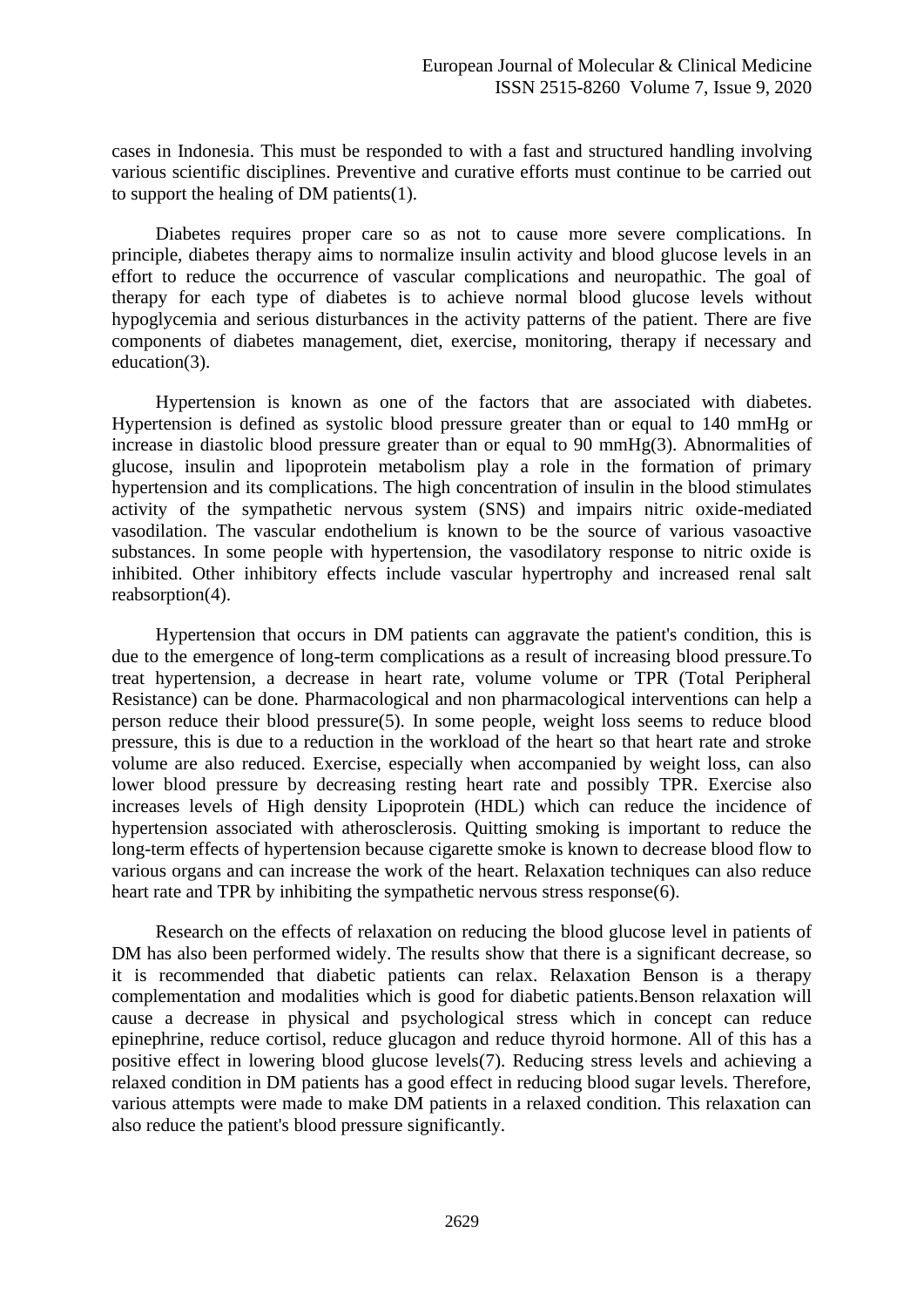cases in Indonesia. This must be responded to with a fast and structured handling involving various scientific disciplines. Preventive and curative efforts must continue to be carried out to support the healing of DM patients(1).

Diabetes requires proper care so as not to cause more severe complications. In principle, diabetes therapy aims to normalize insulin activity and blood glucose levels in an effort to reduce the occurrence of vascular complications and neuropathic. The goal of therapy for each type of diabetes is to achieve normal blood glucose levels without hypoglycemia and serious disturbances in the activity patterns of the patient. There are five components of diabetes management, diet, exercise, monitoring, therapy if necessary and education(3).

Hypertension is known as one of the factors that are associated with diabetes. Hypertension is defined as systolic blood pressure greater than or equal to 140 mmHg or increase in diastolic blood pressure greater than or equal to 90 mmHg(3). Abnormalities of glucose, insulin and lipoprotein metabolism play a role in the formation of primary hypertension and its complications. The high concentration of insulin in the blood stimulates activity of the sympathetic nervous system (SNS) and impairs nitric oxide-mediated vasodilation. The vascular endothelium is known to be the source of various vasoactive substances. In some people with hypertension, the vasodilatory response to nitric oxide is inhibited. Other inhibitory effects include vascular hypertrophy and increased renal salt reabsorption(4).

Hypertension that occurs in DM patients can aggravate the patient's condition, this is due to the emergence of long-term complications as a result of increasing blood pressure.To treat hypertension, a decrease in heart rate, volume volume or TPR (Total Peripheral Resistance) can be done. Pharmacological and non pharmacological interventions can help a person reduce their blood pressure(5). In some people, weight loss seems to reduce blood pressure, this is due to a reduction in the workload of the heart so that heart rate and stroke volume are also reduced. Exercise, especially when accompanied by weight loss, can also lower blood pressure by decreasing resting heart rate and possibly TPR. Exercise also increases levels of High density Lipoprotein (HDL) which can reduce the incidence of hypertension associated with atherosclerosis. Quitting smoking is important to reduce the long-term effects of hypertension because cigarette smoke is known to decrease blood flow to various organs and can increase the work of the heart. Relaxation techniques can also reduce heart rate and TPR by inhibiting the sympathetic nervous stress response(6).

Research on the effects of relaxation on reducing the blood glucose level in patients of DM has also been performed widely. The results show that there is a significant decrease, so it is recommended that diabetic patients can relax. Relaxation Benson is a therapy complementation and modalities which is good for diabetic patients.Benson relaxation will cause a decrease in physical and psychological stress which in concept can reduce epinephrine, reduce cortisol, reduce glucagon and reduce thyroid hormone. All of this has a positive effect in lowering blood glucose levels(7). Reducing stress levels and achieving a relaxed condition in DM patients has a good effect in reducing blood sugar levels. Therefore, various attempts were made to make DM patients in a relaxed condition. This relaxation can also reduce the patient's blood pressure significantly.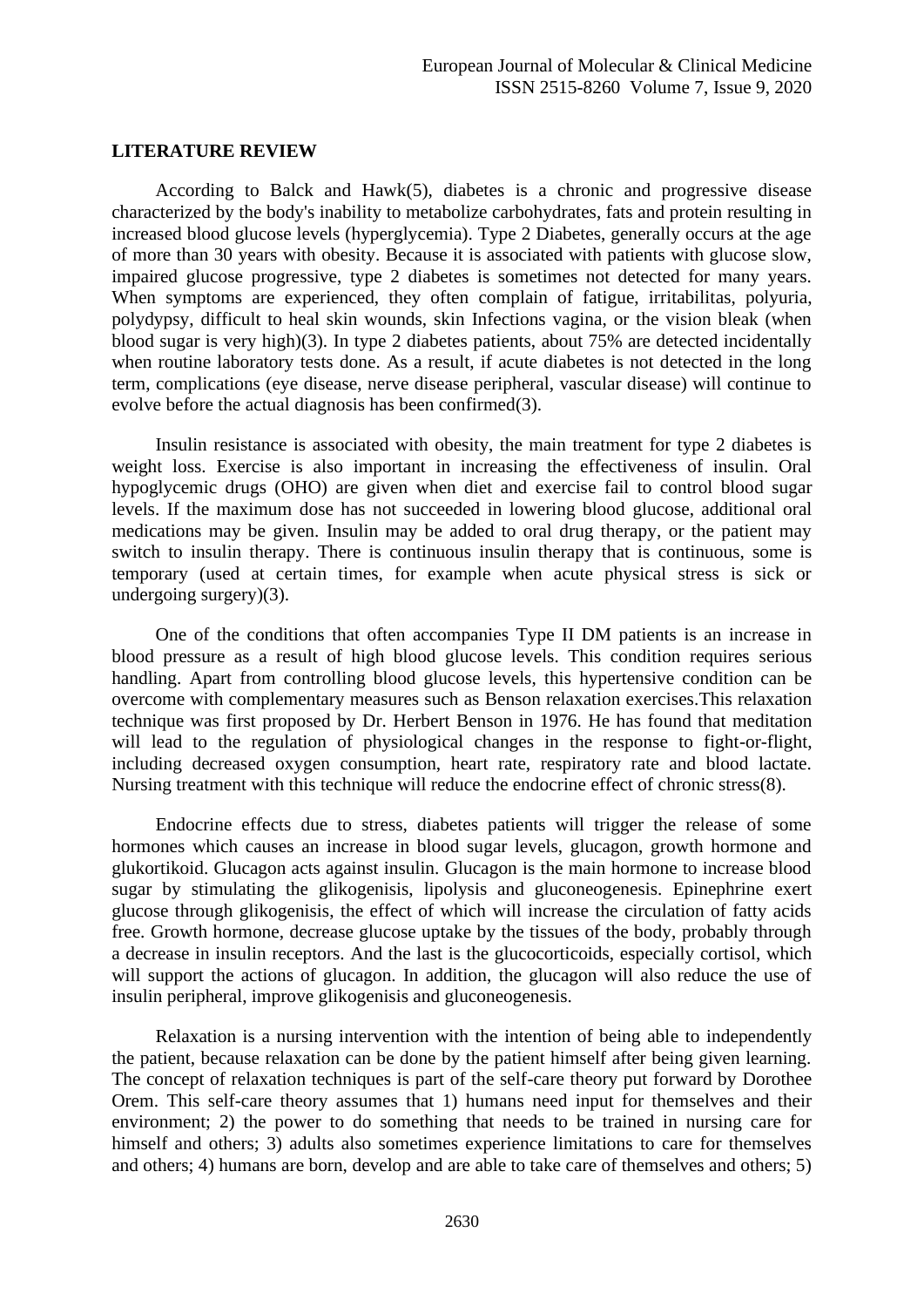#### **LITERATURE REVIEW**

According to Balck and Hawk(5), diabetes is a chronic and progressive disease characterized by the body's inability to metabolize carbohydrates, fats and protein resulting in increased blood glucose levels (hyperglycemia). Type 2 Diabetes, generally occurs at the age of more than 30 years with obesity. Because it is associated with patients with glucose slow, impaired glucose progressive, type 2 diabetes is sometimes not detected for many years. When symptoms are experienced, they often complain of fatigue, irritabilitas, polyuria, polydypsy, difficult to heal skin wounds, skin Infections vagina, or the vision bleak (when blood sugar is very high)(3). In type 2 diabetes patients, about 75% are detected incidentally when routine laboratory tests done. As a result, if acute diabetes is not detected in the long term, complications (eye disease, nerve disease peripheral, vascular disease) will continue to evolve before the actual diagnosis has been confirmed(3).

Insulin resistance is associated with obesity, the main treatment for type 2 diabetes is weight loss. Exercise is also important in increasing the effectiveness of insulin. Oral hypoglycemic drugs (OHO) are given when diet and exercise fail to control blood sugar levels. If the maximum dose has not succeeded in lowering blood glucose, additional oral medications may be given. Insulin may be added to oral drug therapy, or the patient may switch to insulin therapy. There is continuous insulin therapy that is continuous, some is temporary (used at certain times, for example when acute physical stress is sick or undergoing surgery)(3).

One of the conditions that often accompanies Type II DM patients is an increase in blood pressure as a result of high blood glucose levels. This condition requires serious handling. Apart from controlling blood glucose levels, this hypertensive condition can be overcome with complementary measures such as Benson relaxation exercises.This relaxation technique was first proposed by Dr. Herbert Benson in 1976. He has found that meditation will lead to the regulation of physiological changes in the response to fight-or-flight, including decreased oxygen consumption, heart rate, respiratory rate and blood lactate. Nursing treatment with this technique will reduce the endocrine effect of chronic stress(8).

Endocrine effects due to stress, diabetes patients will trigger the release of some hormones which causes an increase in blood sugar levels, glucagon, growth hormone and glukortikoid. Glucagon acts against insulin. Glucagon is the main hormone to increase blood sugar by stimulating the glikogenisis, lipolysis and gluconeogenesis. Epinephrine exert glucose through glikogenisis, the effect of which will increase the circulation of fatty acids free. Growth hormone, decrease glucose uptake by the tissues of the body, probably through a decrease in insulin receptors. And the last is the glucocorticoids, especially cortisol, which will support the actions of glucagon. In addition, the glucagon will also reduce the use of insulin peripheral, improve glikogenisis and gluconeogenesis.

Relaxation is a nursing intervention with the intention of being able to independently the patient, because relaxation can be done by the patient himself after being given learning. The concept of relaxation techniques is part of the self-care theory put forward by Dorothee Orem. This self-care theory assumes that 1) humans need input for themselves and their environment; 2) the power to do something that needs to be trained in nursing care for himself and others; 3) adults also sometimes experience limitations to care for themselves and others; 4) humans are born, develop and are able to take care of themselves and others; 5)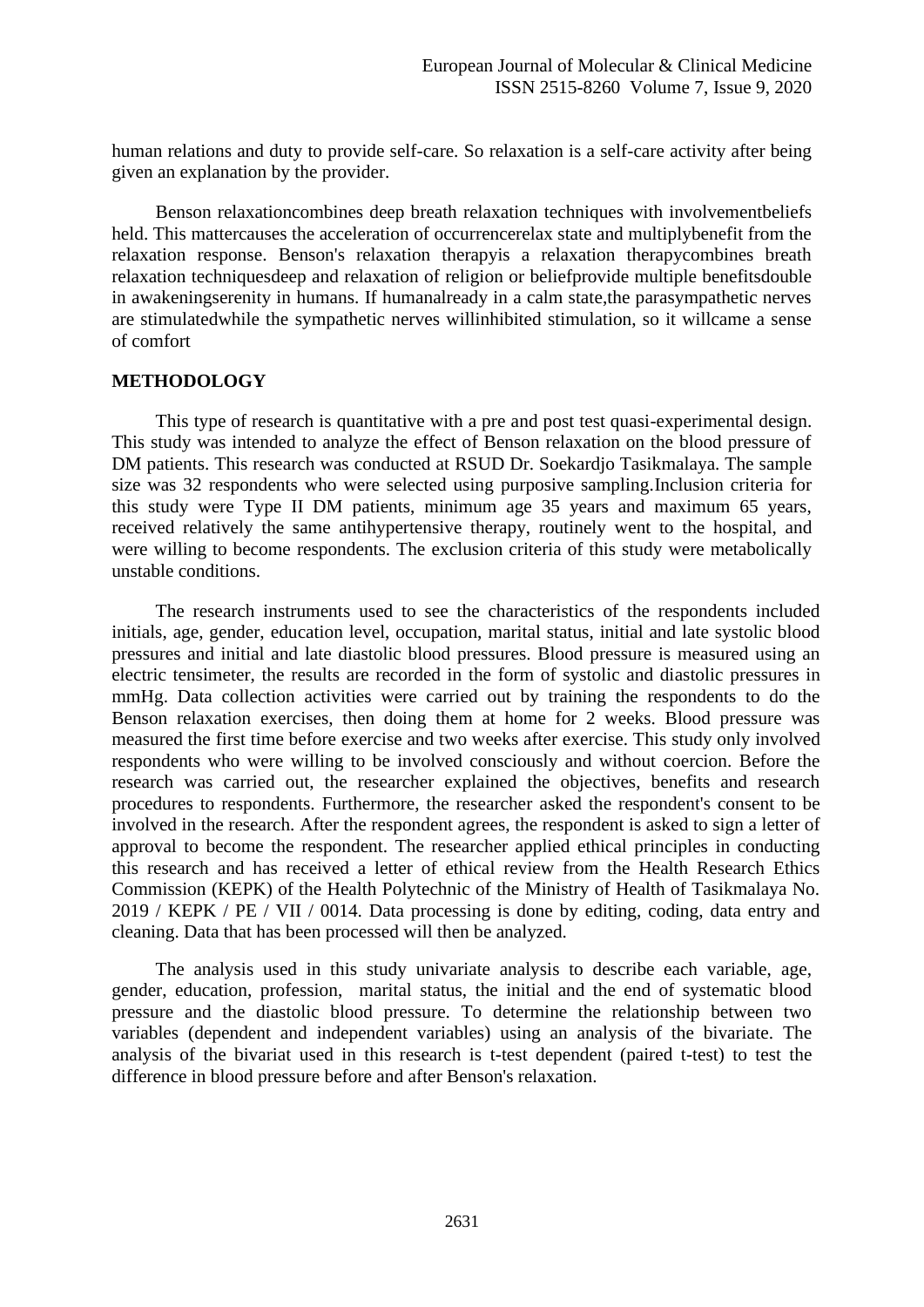human relations and duty to provide self-care. So relaxation is a self-care activity after being given an explanation by the provider.

Benson relaxationcombines deep breath relaxation techniques with involvementbeliefs held. This mattercauses the acceleration of occurrencerelax state and multiplybenefit from the relaxation response. Benson's relaxation therapyis a relaxation therapycombines breath relaxation techniquesdeep and relaxation of religion or beliefprovide multiple benefitsdouble in awakeningserenity in humans. If humanalready in a calm state,the parasympathetic nerves are stimulatedwhile the sympathetic nerves willinhibited stimulation, so it willcame a sense of comfort

## **METHODOLOGY**

This type of research is quantitative with a pre and post test quasi-experimental design. This study was intended to analyze the effect of Benson relaxation on the blood pressure of DM patients. This research was conducted at RSUD Dr. Soekardjo Tasikmalaya. The sample size was 32 respondents who were selected using purposive sampling.Inclusion criteria for this study were Type II DM patients, minimum age 35 years and maximum 65 years, received relatively the same antihypertensive therapy, routinely went to the hospital, and were willing to become respondents. The exclusion criteria of this study were metabolically unstable conditions.

The research instruments used to see the characteristics of the respondents included initials, age, gender, education level, occupation, marital status, initial and late systolic blood pressures and initial and late diastolic blood pressures. Blood pressure is measured using an electric tensimeter, the results are recorded in the form of systolic and diastolic pressures in mmHg. Data collection activities were carried out by training the respondents to do the Benson relaxation exercises, then doing them at home for 2 weeks. Blood pressure was measured the first time before exercise and two weeks after exercise. This study only involved respondents who were willing to be involved consciously and without coercion. Before the research was carried out, the researcher explained the objectives, benefits and research procedures to respondents. Furthermore, the researcher asked the respondent's consent to be involved in the research. After the respondent agrees, the respondent is asked to sign a letter of approval to become the respondent. The researcher applied ethical principles in conducting this research and has received a letter of ethical review from the Health Research Ethics Commission (KEPK) of the Health Polytechnic of the Ministry of Health of Tasikmalaya No. 2019 / KEPK / PE / VII / 0014. Data processing is done by editing, coding, data entry and cleaning. Data that has been processed will then be analyzed.

The analysis used in this study univariate analysis to describe each variable, age, gender, education, profession, marital status, the initial and the end of systematic blood pressure and the diastolic blood pressure. To determine the relationship between two variables (dependent and independent variables) using an analysis of the bivariate. The analysis of the bivariat used in this research is t-test dependent (paired t-test) to test the difference in blood pressure before and after Benson's relaxation.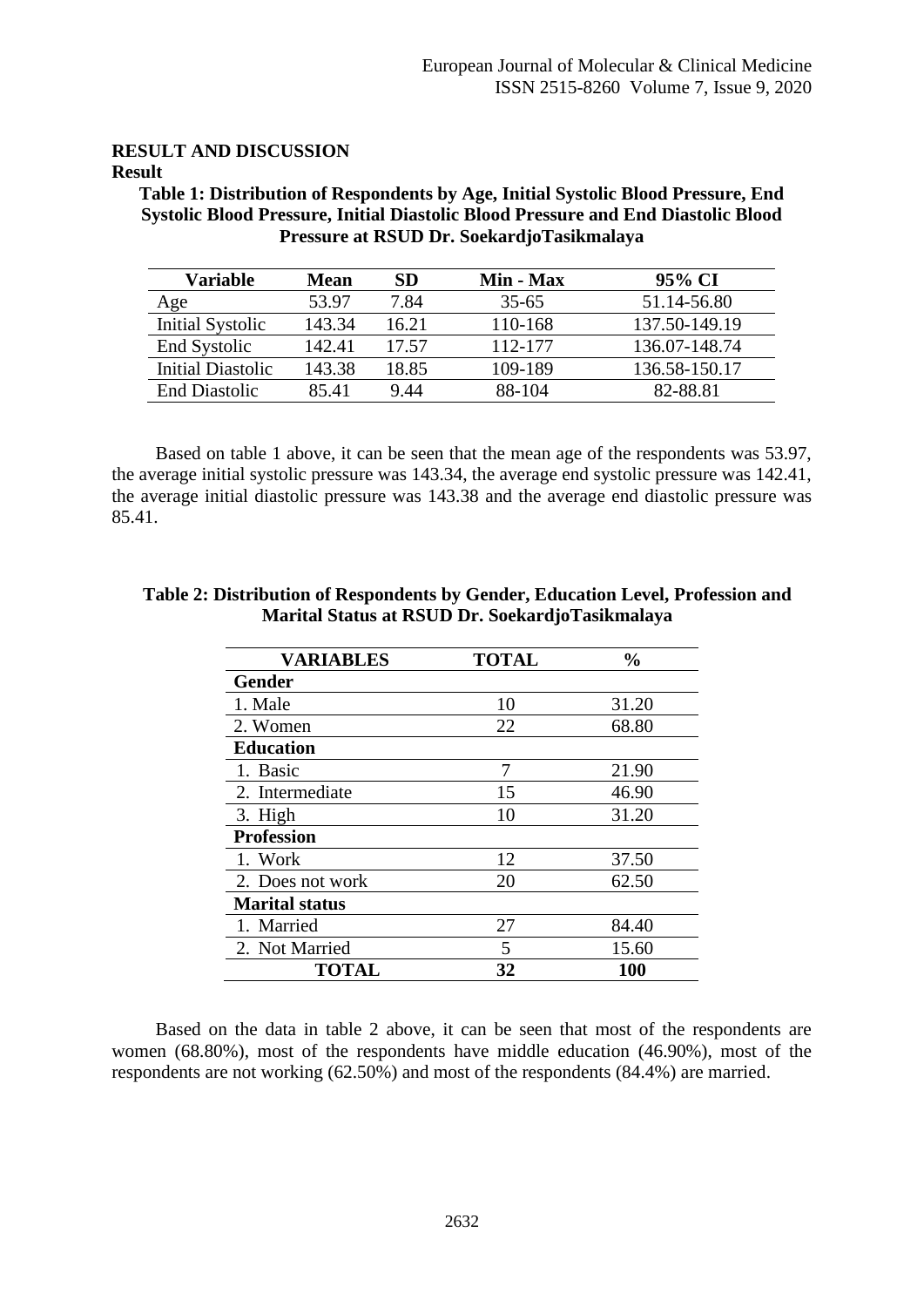#### **RESULT AND DISCUSSION Result**

**Table 1: Distribution of Respondents by Age, Initial Systolic Blood Pressure, End Systolic Blood Pressure, Initial Diastolic Blood Pressure and End Diastolic Blood Pressure at RSUD Dr. SoekardjoTasikmalaya**

| Variable                 | <b>Mean</b> | <b>SD</b> | Min - Max | 95% CI        |
|--------------------------|-------------|-----------|-----------|---------------|
| Age                      | 53.97       | 7.84      | $35 - 65$ | 51.14-56.80   |
| Initial Systolic         | 143.34      | 16.21     | 110-168   | 137.50-149.19 |
| End Systolic             | 142.41      | 17.57     | 112-177   | 136.07-148.74 |
| <b>Initial Diastolic</b> | 143.38      | 18.85     | 109-189   | 136.58-150.17 |
| <b>End Diastolic</b>     | 85.41       | 9.44      | 88-104    | 82-88.81      |

Based on table 1 above, it can be seen that the mean age of the respondents was 53.97, the average initial systolic pressure was 143.34, the average end systolic pressure was 142.41, the average initial diastolic pressure was 143.38 and the average end diastolic pressure was 85.41.

| <b>VARIABLES</b>      | <b>TOTAL</b> | $\frac{0}{0}$ |  |
|-----------------------|--------------|---------------|--|
| <b>Gender</b>         |              |               |  |
| 1. Male               | 10           | 31.20         |  |
| 2. Women              | 22           | 68.80         |  |
| <b>Education</b>      |              |               |  |
| 1. Basic              | 7            | 21.90         |  |
| 2. Intermediate       | 15           | 46.90         |  |
| 3. High               | 10           | 31.20         |  |
| <b>Profession</b>     |              |               |  |
| 1. Work               | 12           | 37.50         |  |
| 2. Does not work      | 20           | 62.50         |  |
| <b>Marital status</b> |              |               |  |
| 1. Married            | 27           | 84.40         |  |
| 2. Not Married        | 5            | 15.60         |  |
| <b>TOTAL</b>          | 32           | <b>100</b>    |  |

**Table 2: Distribution of Respondents by Gender, Education Level, Profession and Marital Status at RSUD Dr. SoekardjoTasikmalaya**

Based on the data in table 2 above, it can be seen that most of the respondents are women (68.80%), most of the respondents have middle education (46.90%), most of the respondents are not working (62.50%) and most of the respondents (84.4%) are married.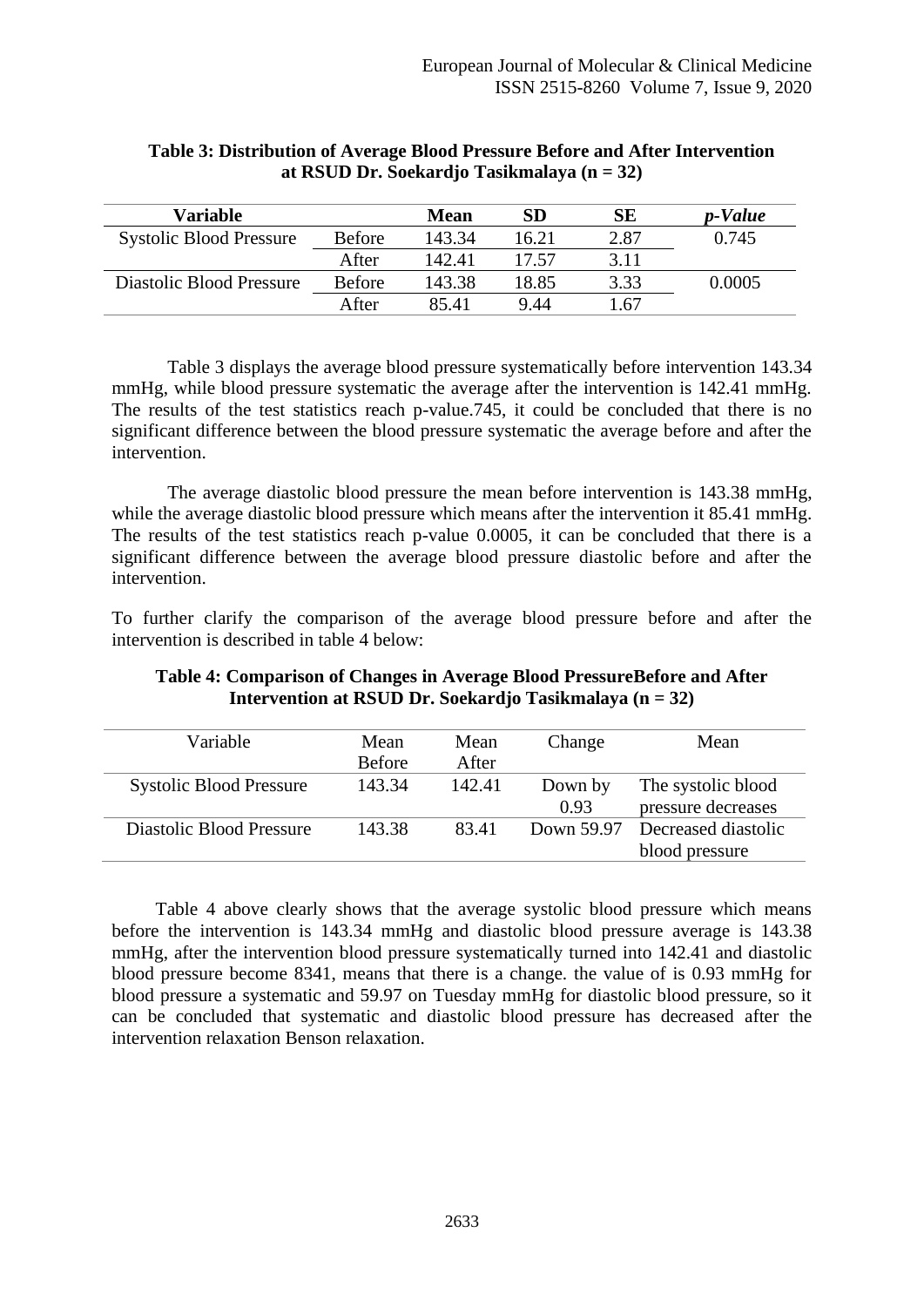| Variable                       |               | Mean   | SD    | <b>SE</b> | p-Value |
|--------------------------------|---------------|--------|-------|-----------|---------|
| <b>Systolic Blood Pressure</b> | <b>Before</b> | 143.34 | 16.21 | 2.87      | 0.745   |
|                                | After         | 142.41 | 17.57 | 3.11      |         |
| Diastolic Blood Pressure       | <b>Before</b> | 143.38 | 18.85 | 3.33      | 0.0005  |
|                                | After         | 85.41  | 9.44  | 1.67      |         |

#### **Table 3: Distribution of Average Blood Pressure Before and After Intervention at RSUD Dr. Soekardjo Tasikmalaya (n = 32)**

Table 3 displays the average blood pressure systematically before intervention 143.34 mmHg, while blood pressure systematic the average after the intervention is 142.41 mmHg. The results of the test statistics reach p-value.745, it could be concluded that there is no significant difference between the blood pressure systematic the average before and after the intervention.

The average diastolic blood pressure the mean before intervention is 143.38 mmHg, while the average diastolic blood pressure which means after the intervention it 85.41 mmHg. The results of the test statistics reach p-value 0.0005, it can be concluded that there is a significant difference between the average blood pressure diastolic before and after the intervention.

To further clarify the comparison of the average blood pressure before and after the intervention is described in table 4 below:

| Table 4: Comparison of Changes in Average Blood Pressure Before and After |
|---------------------------------------------------------------------------|
| Intervention at RSUD Dr. Soekardjo Tasikmalaya ( $n = 32$ )               |

| Variable                       | Mean<br><b>Before</b> | Mean<br>After | Change          | Mean                                             |
|--------------------------------|-----------------------|---------------|-----------------|--------------------------------------------------|
| <b>Systolic Blood Pressure</b> | 143.34                | 142.41        | Down by<br>0.93 | The systolic blood<br>pressure decreases         |
| Diastolic Blood Pressure       | 143.38                | 83.41         |                 | Down 59.97 Decreased diastolic<br>blood pressure |

Table 4 above clearly shows that the average systolic blood pressure which means before the intervention is 143.34 mmHg and diastolic blood pressure average is 143.38 mmHg, after the intervention blood pressure systematically turned into 142.41 and diastolic blood pressure become 8341, means that there is a change. the value of is 0.93 mmHg for blood pressure a systematic and 59.97 on Tuesday mmHg for diastolic blood pressure, so it can be concluded that systematic and diastolic blood pressure has decreased after the intervention relaxation Benson relaxation.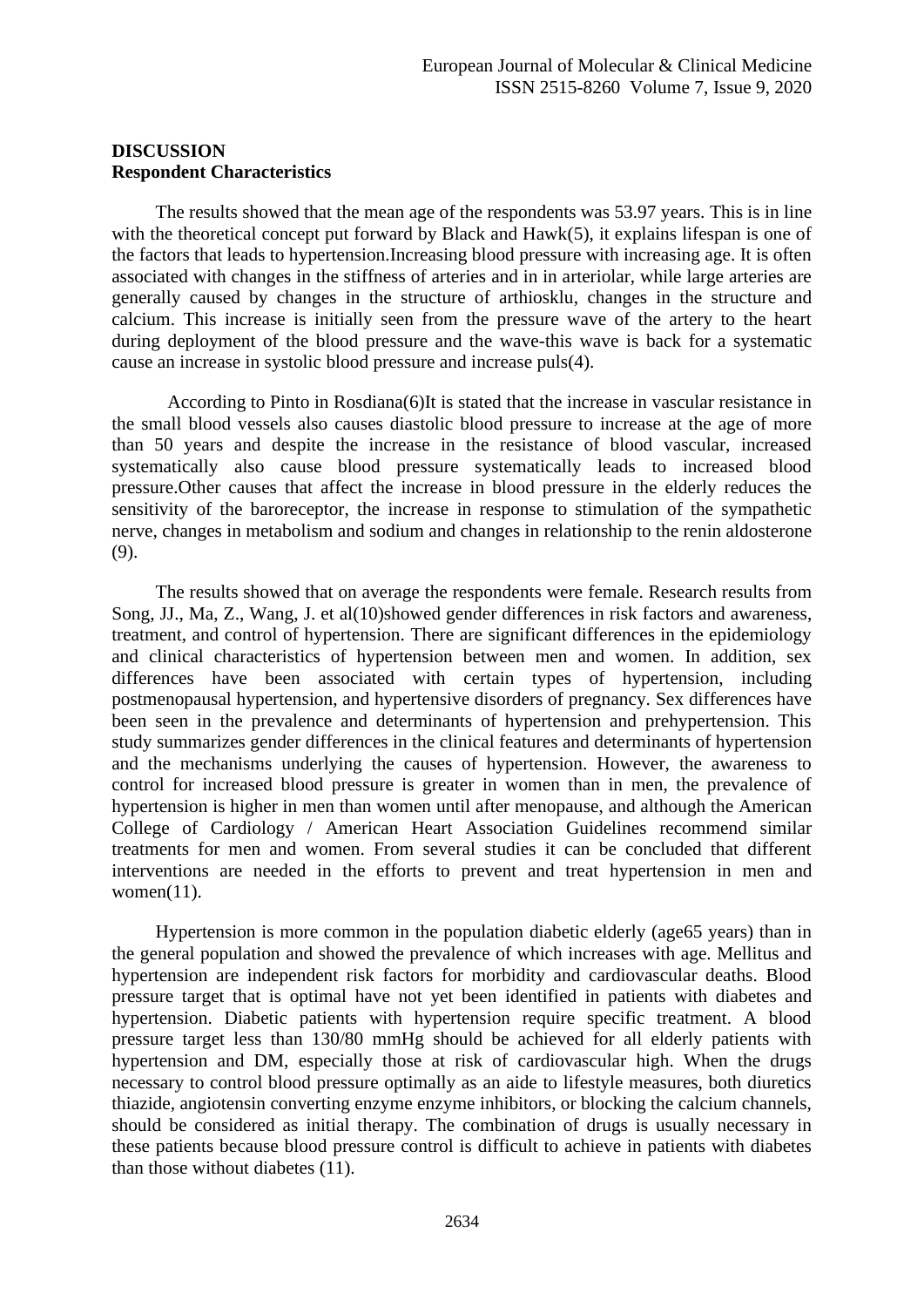## **DISCUSSION Respondent Characteristics**

The results showed that the mean age of the respondents was 53.97 years. This is in line with the theoretical concept put forward by Black and Hawk(5), it explains lifespan is one of the factors that leads to hypertension.Increasing blood pressure with increasing age. It is often associated with changes in the stiffness of arteries and in in arteriolar, while large arteries are generally caused by changes in the structure of arthiosklu, changes in the structure and calcium. This increase is initially seen from the pressure wave of the artery to the heart during deployment of the blood pressure and the wave-this wave is back for a systematic cause an increase in systolic blood pressure and increase puls(4).

According to Pinto in Rosdiana(6)It is stated that the increase in vascular resistance in the small blood vessels also causes diastolic blood pressure to increase at the age of more than 50 years and despite the increase in the resistance of blood vascular, increased systematically also cause blood pressure systematically leads to increased blood pressure.Other causes that affect the increase in blood pressure in the elderly reduces the sensitivity of the baroreceptor, the increase in response to stimulation of the sympathetic nerve, changes in metabolism and sodium and changes in relationship to the renin aldosterone (9).

The results showed that on average the respondents were female. Research results from Song, JJ., Ma, Z., Wang, J. et al(10)showed gender differences in risk factors and awareness, treatment, and control of hypertension. There are significant differences in the epidemiology and clinical characteristics of hypertension between men and women. In addition, sex differences have been associated with certain types of hypertension, including postmenopausal hypertension, and hypertensive disorders of pregnancy. Sex differences have been seen in the prevalence and determinants of hypertension and prehypertension. This study summarizes gender differences in the clinical features and determinants of hypertension and the mechanisms underlying the causes of hypertension. However, the awareness to control for increased blood pressure is greater in women than in men, the prevalence of hypertension is higher in men than women until after menopause, and although the American College of Cardiology / American Heart Association Guidelines recommend similar treatments for men and women. From several studies it can be concluded that different interventions are needed in the efforts to prevent and treat hypertension in men and women $(11)$ .

Hypertension is more common in the population diabetic elderly (age65 years) than in the general population and showed the prevalence of which increases with age. Mellitus and hypertension are independent risk factors for morbidity and cardiovascular deaths. Blood pressure target that is optimal have not yet been identified in patients with diabetes and hypertension. Diabetic patients with hypertension require specific treatment. A blood pressure target less than 130/80 mmHg should be achieved for all elderly patients with hypertension and DM, especially those at risk of cardiovascular high. When the drugs necessary to control blood pressure optimally as an aide to lifestyle measures, both diuretics thiazide, angiotensin converting enzyme enzyme inhibitors, or blocking the calcium channels, should be considered as initial therapy. The combination of drugs is usually necessary in these patients because blood pressure control is difficult to achieve in patients with diabetes than those without diabetes (11).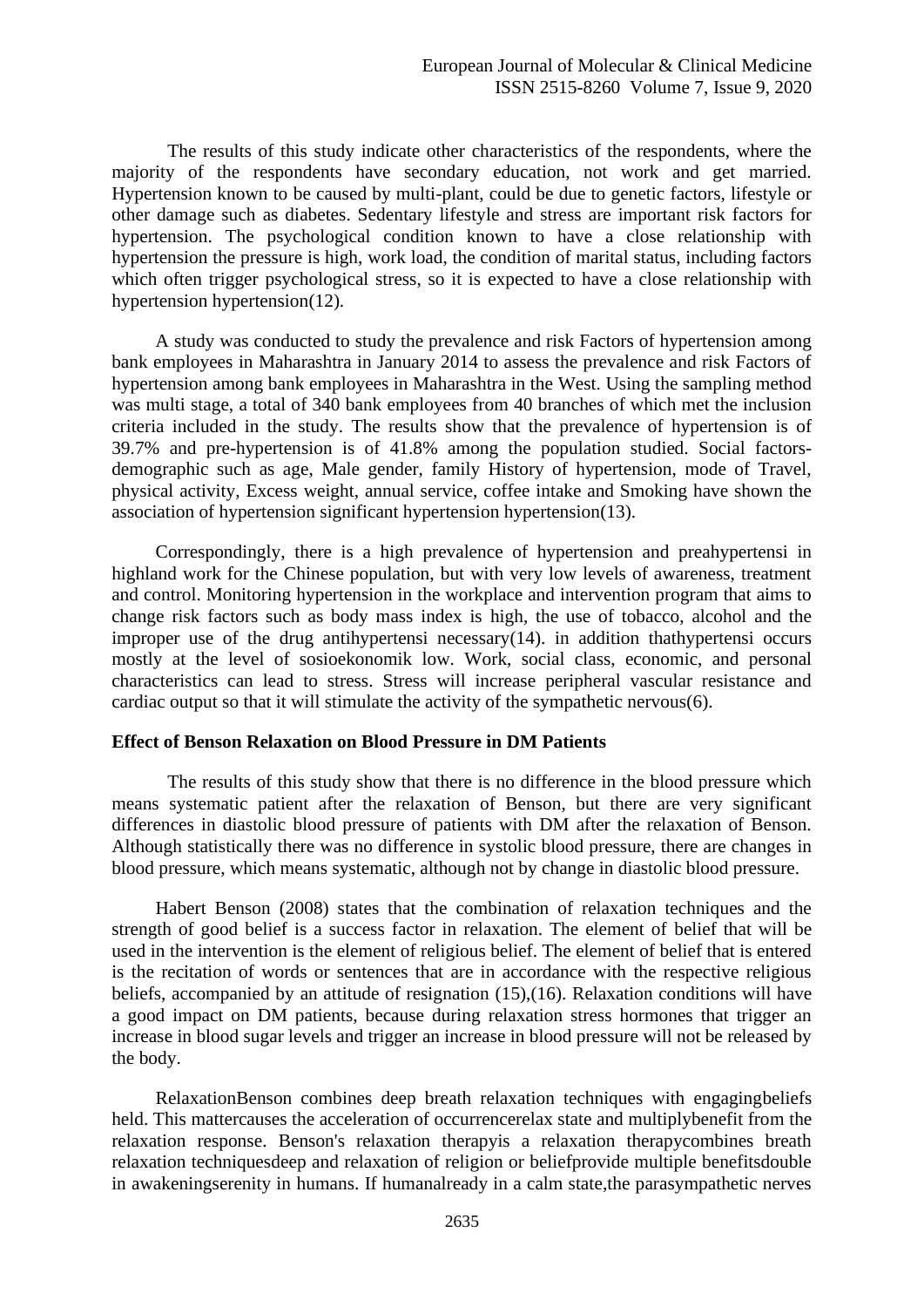The results of this study indicate other characteristics of the respondents, where the majority of the respondents have secondary education, not work and get married. Hypertension known to be caused by multi-plant, could be due to genetic factors, lifestyle or other damage such as diabetes. Sedentary lifestyle and stress are important risk factors for hypertension. The psychological condition known to have a close relationship with hypertension the pressure is high, work load, the condition of marital status, including factors which often trigger psychological stress, so it is expected to have a close relationship with hypertension hypertension(12).

A study was conducted to study the prevalence and risk Factors of hypertension among bank employees in Maharashtra in January 2014 to assess the prevalence and risk Factors of hypertension among bank employees in Maharashtra in the West. Using the sampling method was multi stage, a total of 340 bank employees from 40 branches of which met the inclusion criteria included in the study. The results show that the prevalence of hypertension is of 39.7% and pre-hypertension is of 41.8% among the population studied. Social factorsdemographic such as age, Male gender, family History of hypertension, mode of Travel, physical activity, Excess weight, annual service, coffee intake and Smoking have shown the association of hypertension significant hypertension hypertension(13).

Correspondingly, there is a high prevalence of hypertension and preahypertensi in highland work for the Chinese population, but with very low levels of awareness, treatment and control. Monitoring hypertension in the workplace and intervention program that aims to change risk factors such as body mass index is high, the use of tobacco, alcohol and the improper use of the drug antihypertensi necessary(14). in addition thathypertensi occurs mostly at the level of sosioekonomik low. Work, social class, economic, and personal characteristics can lead to stress. Stress will increase peripheral vascular resistance and cardiac output so that it will stimulate the activity of the sympathetic nervous $(6)$ .

## **Effect of Benson Relaxation on Blood Pressure in DM Patients**

The results of this study show that there is no difference in the blood pressure which means systematic patient after the relaxation of Benson, but there are very significant differences in diastolic blood pressure of patients with DM after the relaxation of Benson. Although statistically there was no difference in systolic blood pressure, there are changes in blood pressure, which means systematic, although not by change in diastolic blood pressure.

Habert Benson (2008) states that the combination of relaxation techniques and the strength of good belief is a success factor in relaxation. The element of belief that will be used in the intervention is the element of religious belief. The element of belief that is entered is the recitation of words or sentences that are in accordance with the respective religious beliefs, accompanied by an attitude of resignation (15),(16). Relaxation conditions will have a good impact on DM patients, because during relaxation stress hormones that trigger an increase in blood sugar levels and trigger an increase in blood pressure will not be released by the body.

RelaxationBenson combines deep breath relaxation techniques with engagingbeliefs held. This mattercauses the acceleration of occurrencerelax state and multiplybenefit from the relaxation response. Benson's relaxation therapyis a relaxation therapycombines breath relaxation techniquesdeep and relaxation of religion or beliefprovide multiple benefitsdouble in awakeningserenity in humans. If humanalready in a calm state,the parasympathetic nerves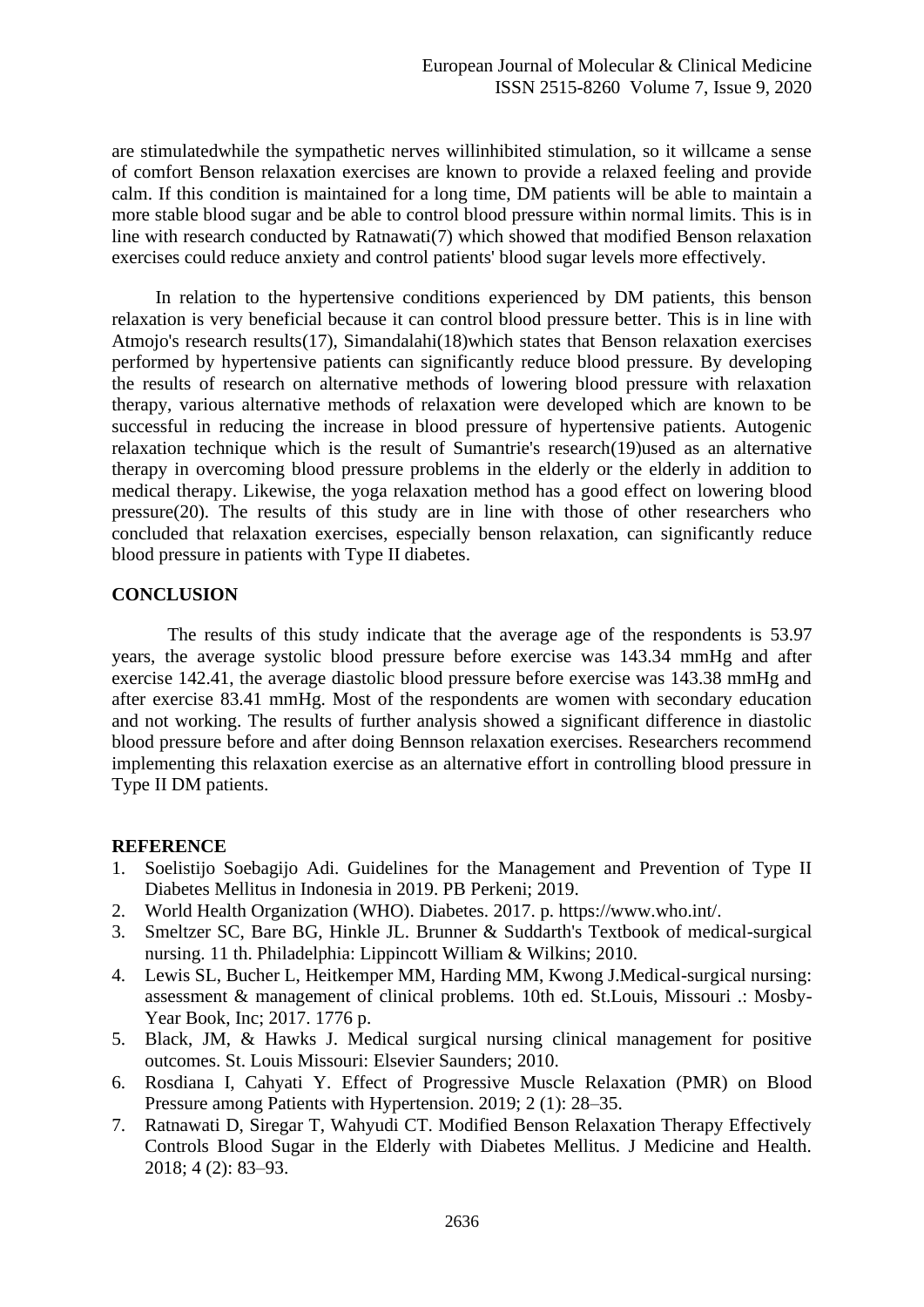are stimulatedwhile the sympathetic nerves willinhibited stimulation, so it willcame a sense of comfort Benson relaxation exercises are known to provide a relaxed feeling and provide calm. If this condition is maintained for a long time, DM patients will be able to maintain a more stable blood sugar and be able to control blood pressure within normal limits. This is in line with research conducted by Ratnawati(7) which showed that modified Benson relaxation exercises could reduce anxiety and control patients' blood sugar levels more effectively.

In relation to the hypertensive conditions experienced by DM patients, this benson relaxation is very beneficial because it can control blood pressure better. This is in line with Atmojo's research results(17), Simandalahi(18)which states that Benson relaxation exercises performed by hypertensive patients can significantly reduce blood pressure. By developing the results of research on alternative methods of lowering blood pressure with relaxation therapy, various alternative methods of relaxation were developed which are known to be successful in reducing the increase in blood pressure of hypertensive patients. Autogenic relaxation technique which is the result of Sumantrie's research(19)used as an alternative therapy in overcoming blood pressure problems in the elderly or the elderly in addition to medical therapy. Likewise, the yoga relaxation method has a good effect on lowering blood pressure(20). The results of this study are in line with those of other researchers who concluded that relaxation exercises, especially benson relaxation, can significantly reduce blood pressure in patients with Type II diabetes.

# **CONCLUSION**

The results of this study indicate that the average age of the respondents is 53.97 years, the average systolic blood pressure before exercise was 143.34 mmHg and after exercise 142.41, the average diastolic blood pressure before exercise was 143.38 mmHg and after exercise 83.41 mmHg. Most of the respondents are women with secondary education and not working. The results of further analysis showed a significant difference in diastolic blood pressure before and after doing Bennson relaxation exercises. Researchers recommend implementing this relaxation exercise as an alternative effort in controlling blood pressure in Type II DM patients.

## **REFERENCE**

- 1. Soelistijo Soebagijo Adi. Guidelines for the Management and Prevention of Type II Diabetes Mellitus in Indonesia in 2019. PB Perkeni; 2019.
- 2. World Health Organization (WHO). Diabetes. 2017. p. https://www.who.int/.
- 3. Smeltzer SC, Bare BG, Hinkle JL. Brunner & Suddarth's Textbook of medical-surgical nursing. 11 th. Philadelphia: Lippincott William & Wilkins; 2010.
- 4. Lewis SL, Bucher L, Heitkemper MM, Harding MM, Kwong J.Medical-surgical nursing: assessment & management of clinical problems. 10th ed. St.Louis, Missouri .: Mosby-Year Book, Inc; 2017. 1776 p.
- 5. Black, JM, & Hawks J. Medical surgical nursing clinical management for positive outcomes. St. Louis Missouri: Elsevier Saunders; 2010.
- 6. Rosdiana I, Cahyati Y. Effect of Progressive Muscle Relaxation (PMR) on Blood Pressure among Patients with Hypertension. 2019; 2 (1): 28–35.
- 7. Ratnawati D, Siregar T, Wahyudi CT. Modified Benson Relaxation Therapy Effectively Controls Blood Sugar in the Elderly with Diabetes Mellitus. J Medicine and Health. 2018; 4 (2): 83–93.